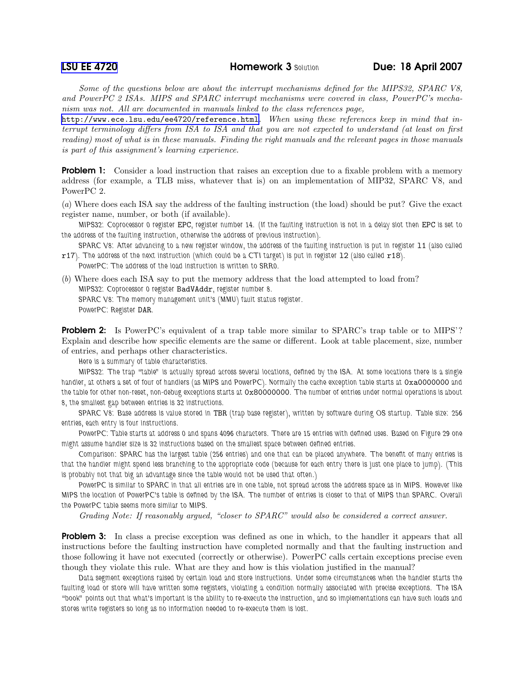Some of the questions below are about the interrupt mechanisms defined for the MIPS32, SPARC V8, and PowerPC 2 ISAs. MIPS and SPARC interrupt mechanisms were covered in class, PowerPC's mechanism was not. All are documented in manuals linked to the class references page,

<http://www.ece.lsu.edu/ee4720/reference.html>. When using these references keep in mind that interrupt terminology differs from ISA to ISA and that you are not expected to understand (at least on first reading) most of what is in these manuals. Finding the right manuals and the relevant pages in those manuals is part of this assignment's learning experience.

**Problem 1:** Consider a load instruction that raises an exception due to a fixable problem with a memory address (for example, a TLB miss, whatever that is) on an implementation of MIP32, SPARC V8, and PowerPC 2.

(a) Where does each ISA say the address of the faulting instruction (the load) should be put? Give the exact register name, number, or both (if available).

MIPS32: Coprocessor 0 register EPC, register number 14. (If the faulting instruction is not in a delay slot then EPC is set to the address of the faulting instruction, otherwise the address of previous instruction).

SPARC V8: After advancing to a new register window, the address of the faulting instruction is put in register l1 (also called r17). The address of the next instruction (which could be a CTI target) is put in register l2 (also called r18).

PowerPC: The address of the load instruction is written to SRR0.

(b) Where does each ISA say to put the memory address that the load attempted to load from? MIPS32: Coprocessor 0 register BadVAddr, register number 8. SPARC V8: The memory management unit's (MMU) fault status register.

PowerPC: Register DAR.

**Problem 2:** Is PowerPC's equivalent of a trap table more similar to SPARC's trap table or to MIPS'? Explain and describe how specific elements are the same or different. Look at table placement, size, number of entries, and perhaps other characteristics.

Here is a summary of table characteristics.

MIPS32: The trap "table" is actually spread across several locations, defined by the ISA. At some locations there is a single handler, at others a set of four of handlers (as MIPS and PowerPC). Normally the cache exception table starts at 0xa0000000 and the table for other non-reset, non-debug exceptions starts at 0x80000000. The number of entries under normal operations is about 8, the smallest gap between entries is 32 instructions.

SPARC V8: Base address is value stored in TBR (trap base register), written by software during OS startup. Table size: 256 entries, each entry is four instructions.

PowerPC: Table starts at address 0 and spans 4096 characters. There are 15 entries with defined uses. Based on Figure 29 one might assume handler size is 32 instructions based on the smallest space between defined entries.

Comparison: SPARC has the largest table (256 entries) and one that can be placed anywhere. The benefit of many entries is that the handler might spend less branching to the appropriate code (because for each entry there is just one place to jump). (This is probably not that big an advantage since the table would not be used that often.)

PowerPC is similar to SPARC in that all entries are in one table, not spread across the address space as in MIPS. However like MIPS the location of PowerPC's table is defined by the ISA. The number of entries is closer to that of MIPS than SPARC. Overall the PowerPC table seems more similar to MIPS.

Grading Note: If reasonably argued, "closer to SPARC" would also be considered a correct answer.

**Problem 3:** In class a precise exception was defined as one in which, to the handler it appears that all instructions before the faulting instruction have completed normally and that the faulting instruction and those following it have not executed (correctly or otherwise). PowerPC calls certain exceptions precise even though they violate this rule. What are they and how is this violation justified in the manual?

Data segment exceptions raised by certain load and store instructions. Under some circumstances when the handler starts the faulting load or store will have written some registers, violating a condition normally associated with precise exceptions. The ISA "book" points out that what's important is the ability to re-execute the instruction, and so implementations can have such loads and stores write registers so long as no information needed to re-execute them is lost.